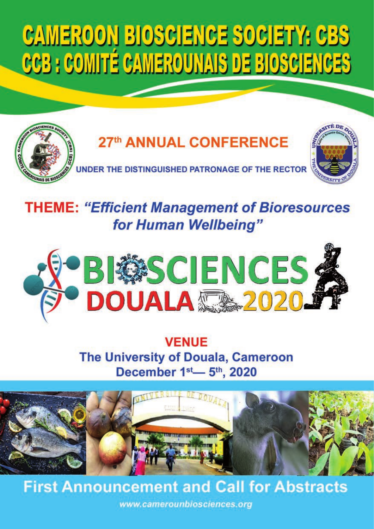# **CAMEROON BIOSCIENCE SOCIETY: CBS** CCB : COMITÉ CAMEROUNAIS DE BIOSCIENCES



## **THEME: "Efficient Management of Bioresources** for Human Wellbeing"



## **VENUE** The University of Douala, Cameroon December 1st<sub>-5th</sub>, 2020



## **First Announcement and Call for Abstracts**

www.camerounbiosciences.org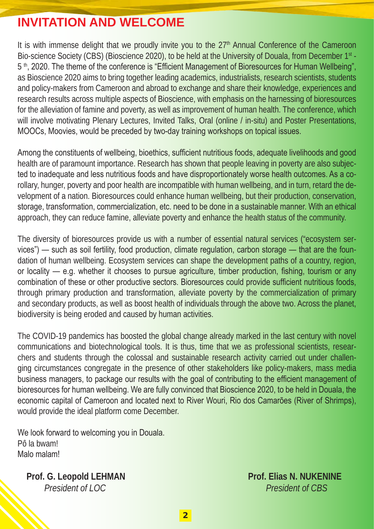## **INVITATION AND WELCOME**

It is with immense delight that we proudly invite you to the  $27<sup>th</sup>$  Annual Conference of the Cameroon Bio-science Society (CBS) (Bioscience 2020), to be held at the University of Douala, from December 1st -5<sup>th</sup>, 2020. The theme of the conference is "Efficient Management of Bioresources for Human Wellbeing", as Bioscience 2020 aims to bring together leading academics, industrialists, research scientists, students and policy-makers from Cameroon and abroad to exchange and share their knowledge, experiences and research results across multiple aspects of Bioscience, with emphasis on the harnessing of bioresources for the alleviation of famine and poverty, as well as improvement of human health. The conference, which will involve motivating Plenary Lectures, Invited Talks, Oral (online / in-situ) and Poster Presentations, MOOCs, Moovies, would be preceded by two-day training workshops on topical issues.

Among the constituents of wellbeing, bioethics, sufficient nutritious foods, adequate livelihoods and good health are of paramount importance. Research has shown that people leaving in poverty are also subjected to inadequate and less nutritious foods and have disproportionately worse health outcomes. As a corollary, hunger, poverty and poor health are incompatible with human wellbeing, and in turn, retard the development of a nation. Bioresources could enhance human wellbeing, but their production, conservation, storage, transformation, commercialization, etc. need to be done in a sustainable manner. With an ethical approach, they can reduce famine, alleviate poverty and enhance the health status of the community.

The diversity of bioresources provide us with a number of essential natural services ("ecosystem services") — such as soil fertility, food production, climate regulation, carbon storage — that are the foundation of human wellbeing. Ecosystem services can shape the development paths of a country, region, or locality — e.g. whether it chooses to pursue agriculture, timber production, fishing, tourism or any combination of these or other productive sectors. Bioresources could provide sufficient nutritious foods, through primary production and transformation, alleviate poverty by the commercialization of primary and secondary products, as well as boost health of individuals through the above two. Across the planet, biodiversity is being eroded and caused by human activities.

The COVID-19 pandemics has boosted the global change already marked in the last century with novel communications and biotechnological tools. It is thus, time that we as professional scientists, researchers and students through the colossal and sustainable research activity carried out under challenging circumstances congregate in the presence of other stakeholders like policy-makers, mass media business managers, to package our results with the goal of contributing to the efficient management of bioresources for human wellbeing. We are fully convinced that Bioscience 2020, to be held in Douala, the economic capital of Cameroon and located next to River Wouri, Rio dos Camarões (River of Shrimps), would provide the ideal platform come December.

We look forward to welcoming you in Douala. Pô la bwam! Malo malam!

**Prof. G. Leopold LEHMAN Prof. Elias N. NUKENINE**  *President of LOC President of CBS*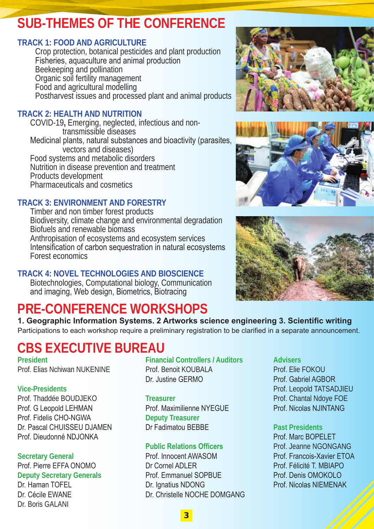## **SUB-THEMES OF THE CONFERENCE**

### **TRACK 1: FOOD AND AGRICULTURE**

Crop protection, botanical pesticides and plant production Fisheries, aquaculture and animal production Beekeeping and pollination Organic soil fertility management Food and agricultural modelling Postharvest issues and processed plant and animal products

### **TRACK 2: HEALTH AND NUTRITION**

COVID-19**,** Emerging, neglected, infectious and non transmissible diseases Medicinal plants, natural substances and bioactivity (parasites, vectors and diseases) Food systems and metabolic disorders Nutrition in disease prevention and treatment Products development Pharmaceuticals and cosmetics

### **TRACK 3: ENVIRONMENT AND FORESTRY**

Timber and non timber forest products Biodiversity, climate change and environmental degradation Biofuels and renewable biomass Anthropisation of ecosystems and ecosystem services Intensification of carbon sequestration in natural ecosystems Forest economics

### **TRACK 4: NOVEL TECHNOLOGIES AND BIOSCIENCE**

Biotechnologies, Computational biology, Communication and imaging, Web design, Biometrics, Biotracing

## **PRE-CONFERENCE WORKSHOPS**

**1. Geographic Information Systems. 2 Artworks science engineering 3. Scientific writing** Participations to each workshop require a preliminary registration to be clarified in a separate announcement.

## **CBS EXECUTIVE BUREAU**

Prof. Thaddée BOUDJEKO **Treasurer** Prof. Chantal Ndoye FOE Prof. G Leopold LEHMAN Prof. Maximilienne NYEGUE Prof. Nicolas NJINTANG Prof. Fidelis CHO-NGWA **Deputy Treasurer** Dr. Pascal CHUISSEU DJAMEN Dr Fadimatou BEBBE **Past Presidents** Prof. Dieudonné NDJONKA Prof. Marc BOPELET

Dr. Boris GALANI

**President Financial Controllers / Auditors Advisers** Prof. Elias Nchiwan NUKENINE Prof. Benoit KOUBALA Prof. Elie FOKOU Dr. Justine GERMO Prof. Gabriel AGBOR

**Secretary General** Prof. Innocent AWASOM Prof. Francois-Xavier ETOA Prof. Pierre EFFA ONOMO Dr Cornel ADLER Prof. Félicité T. MBIAPO **Deputy Secretary Generals** Prof. Emmanuel SOPBUE Prof. Denis OMOKOLO<br>
Dr Haman TOFFI Prof. Denis Dr Jonatius NDONG Prof. Nicolas NIFMENA Dr. Haman TOFEL **Dr. Ignatius NDONG** Prof. Nicolas NIEMENAK<br>Dr. Cécile EWANE Dr. Christelle NOCHE DOMGANG Dr. Christelle NOCHE DOMGANG

**Vice-Presidents** Prof. Leopold TATSADJIEU

**Public Relations Officers** Prof. Jeanne NGONGANG





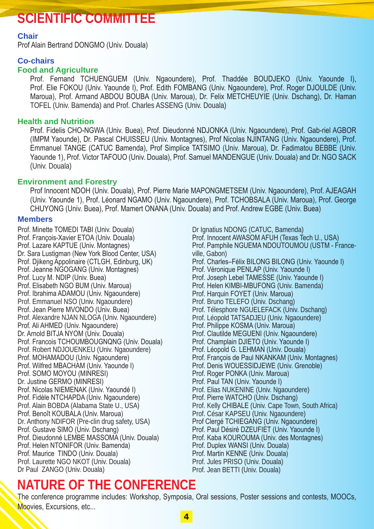## **SCIENTIFIC COMMITTEE**

#### **Chair**

Prof Alain Bertrand DONGMO (Univ. Douala)

#### **Co-chairs**

#### **Food and Agriculture**

Prof. Fernand TCHUENGUEM (Univ. Ngaoundere), Prof. Thaddée BOUDJEKO (Univ. Yaounde I), Prof. Elie FOKOU (Univ. Yaounde I), Prof. Edith FOMBANG (Univ. Ngaoundere), Prof. Roger DJOULDE (Univ. Maroua), Prof. Armand ABDOU BOUBA (Univ. Maroua), Dr. Felix METCHEUYIE (Univ. Dschang), Dr. Haman TOFEL (Univ. Bamenda) and Prof. Charles ASSENG (Univ. Douala)

#### **Health and Nutrition**

Prof. Fidelis CHO-NGWA (Univ. Buea), Prof. Dieudonné NDJONKA (Univ. Ngaoundere), Prof. Gab-riel AGBOR (IMPM Yaounde), Dr. Pascal CHUISSEU (Univ. Montagnes), Prof Nicolas NJINTANG (Univ. Ngaoundere), Prof. Emmanuel TANGE (CATUC Bamenda), Prof Simplice TATSIMO (Univ. Maroua), Dr. Fadimatou BEBBE (Univ. Yaounde 1), Prof. Victor TAFOUO (Univ. Douala), Prof. Samuel MANDENGUE (Univ. Douala) and Dr. NGO SACK (Univ. Douala)

#### **Environment and Forestry**

Prof Innocent NDOH (Univ. Douala), Prof. Pierre Marie MAPONGMETSEM (Univ. Ngaoundere), Prof. AJEAGAH (Univ. Yaounde 1), Prof. Léonard NGAMO (Univ. Ngaoundere), Prof. TCHOBSALA (Univ. Maroua), Prof. George CHUYONG (Univ. Buea), Prof. Mamert ONANA (Univ. Douala) and Prof. Andrew EGBE (Univ. Buea)

#### **Members**

Prof. Minette TOMEDI TABI (Univ. Douala) Prof. François-Xavier ETOA (Univ. Douala) Prof. Lazare KAPTUE (Univ. Montagnes) Dr. Sara Lustigman (New York Blood Center, USA) Prof. Djikeng Appolinaire (CTLGH, Edinburg, UK) Prof. Jeanne NGOGANG (Univ. Montagnes) Prof. Lucy M. NDIP (Univ. Buea) Prof. Elisabeth NGO BUM (Univ. Maroua) Prof. Ibrahima ADAMOU (Univ. Ngaoundere) Prof. Emmanuel NSO (Univ. Ngaoundere) Prof. Jean Pierre MVONDO (Univ. Buea) Prof. Alexandre NJAN NLOGA (Univ. Ngaoundere) Prof. Ali AHMED (Univ. Ngaoundere) Dr. Arnold BITJA NYOM (Univ. Douala) Prof. Francois TCHOUMBOUGNQNG (Univ. Douala) Prof. Robert NDJOUENKEU (Univ. Ngaoundere) Prof. MOHAMADOU (Univ. Ngaoundere) Prof. Wilfred MBACHAM (Univ. Yaounde I) Prof. SOMO MOYOU (MINRESI) Dr. Justine GERMO (MINRESI) Prof. Nicolas NIEMENAK (Univ. Yaoundé I) Prof. Fidèle NTCHAPDA (Univ. Ngaoundere) Prof. Alain BOBDA (Alabama State U., USA) Prof. Benoît KOUBALA (Univ. Maroua) Dr. Anthony NDIFOR (Pre-clin drug safety, USA) Prof. Gustave SIMO (Univ. Dschang) Prof. Dieudonné LEMBE MASSOMA (Univ. Douala) Prof. Helen NTONIFOR (Univ. Bamenda) Prof. Maurice TINDO (Univ. Douala) Prof. Laurette NGO NKOT (Univ. Douala) Dr Paul ZANGO (Univ. Douala)

Dr Ignatius NDONG (CATUC, Bamenda) Prof. Innocent AWASOM AFUH (Texas Tech U., USA) Prof. Pamphile NGUEMA NDOUTOUMOU (USTM - Franceville, Gabon) Prof. Charles–Félix BILONG BILONG (Univ. Yaounde I) Prof. Véronique PENLAP (Univ. Yaounde I) Prof. Joseph Lebel TAMESSE (Univ. Yaounde I) Prof. Helen KIMBI-MBUFONG (Univ. Bamenda) Prof. Harquin FOYET (Univ. Maroua) Prof. Bruno TELEFO (Univ. Dschang) Prof. Télesphore NGUELEFACK (Univ. Dschang) Prof. Léopold TATSADJEU (Univ. Ngaoundere) Prof. Philippe KOSMA (Univ. Maroua) Prof. Clautilde MEGUENI (Univ. Ngaoundere) Prof. Champlain DJIETO (Univ. Yaounde I) Prof. Léopold G. LEHMAN (Univ. Douala) Prof. François de Paul NKANKAM (Univ. Montagnes) Prof. Denis WOUESSIDJEWE (Univ. Grenoble) Prof. Roger PONKA (Univ. Maroua) Prof. Paul TAN (Univ. Yaounde I) Prof. Elias NUKENINE (Univ. Ngaoundere) Prof. Pierre WATCHO (Univ. Dschang) Prof. Kelly CHIBALE (Univ. Cape Town, South Africa) Prof. César KAPSEU (Univ. Ngaoundere) Prof Clergé TCHIEGANG (Univ. Ngaoundere) Prof. Paul Désiré DZEUFIET (Univ. Yaounde I) Prof. Kaba KOUROUMA (Univ. des Montagnes) Prof. Duplex WANSI (Univ. Douala) Prof. Martin KENNE (Univ. Douala) Prof. Jules PRISO (Univ. Douala) Prof. Jean BETTI (Univ. Douala)

## **NATURE OF THE CONFERENCE**

The conference programme includes: Workshop, Symposia, Oral sessions, Poster sessions and contests, MOOCs, Moovies, Excursions, etc...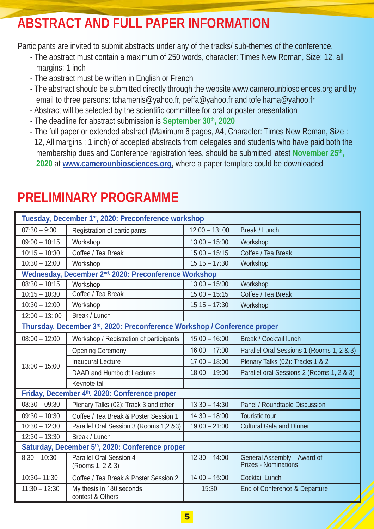## **ABSTRACT AND FULL PAPER INFORMATION**

Participants are invited to submit abstracts under any of the tracks/ sub-themes of the conference.

- The abstract must contain a maximum of 250 words, character: Times New Roman, Size: 12, all margins: 1 inch
- The abstract must be written in English or French
- The abstract should be submitted directly through the website www.camerounbiosciences.org and by email to three persons: tchamenis@yahoo.fr, peffa@yahoo.fr and tofelhama@yahoo.fr
- Abstract will be selected by the scientific committee for oral or poster presentation
- The deadline for abstract submission is September 30<sup>th</sup>, 2020
- The full paper or extended abstract (Maximum 6 pages, A4, Character: Times New Roman, Size : 12, All margins : 1 inch) of accepted abstracts from delegates and students who have paid both the membership dues and Conference registration fees, should be submitted latest **November 25th, 2020** at **www.camerounbiosciences.org**, where a paper template could be downloaded

| Tuesday, December 1st, 2020: Preconference workshop                      |                                              |                 |                                                     |  |  |
|--------------------------------------------------------------------------|----------------------------------------------|-----------------|-----------------------------------------------------|--|--|
| $07:30 - 9:00$                                                           | Registration of participants                 | $12:00 - 13:00$ | Break / Lunch                                       |  |  |
| $09:00 - 10:15$                                                          | Workshop                                     | $13:00 - 15:00$ | Workshop                                            |  |  |
| $10:15 - 10:30$                                                          | Coffee / Tea Break                           | $15:00 - 15:15$ | Coffee / Tea Break                                  |  |  |
| $10:30 - 12:00$                                                          | Workshop                                     | $15:15 - 17:30$ | Workshop                                            |  |  |
| Wednesday, December 2 <sup>nd,</sup> 2020: Preconference Workshop        |                                              |                 |                                                     |  |  |
| $08:30 - 10:15$                                                          | Workshop                                     | $13:00 - 15:00$ | Workshop                                            |  |  |
| $10:15 - 10:30$                                                          | Coffee / Tea Break                           | $15:00 - 15:15$ | Coffee / Tea Break                                  |  |  |
| $10:30 - 12:00$                                                          | Workshop                                     | $15:15 - 17:30$ | Workshop                                            |  |  |
| $12:00 - 13:00$                                                          | Break / Lunch                                |                 |                                                     |  |  |
| Thursday, December 3rd, 2020: Preconference Workshop / Conference proper |                                              |                 |                                                     |  |  |
| $08:00 - 12:00$                                                          | Workshop / Registration of participants      | $15:00 - 16:00$ | <b>Break / Cocktail lunch</b>                       |  |  |
| $13:00 - 15:00$                                                          | <b>Opening Ceremony</b>                      | $16:00 - 17:00$ | Parallel Oral Sessions 1 (Rooms 1, 2 & 3)           |  |  |
|                                                                          | Inaugural Lecture                            | $17:00 - 18:00$ | Plenary Talks (02): Tracks 1 & 2                    |  |  |
|                                                                          | DAAD and Humboldt Lectures                   | $18:00 - 19:00$ | Parallel oral Sessions 2 (Rooms 1, 2 & 3)           |  |  |
|                                                                          | Keynote tal                                  |                 |                                                     |  |  |
| Friday, December 4th, 2020: Conference proper                            |                                              |                 |                                                     |  |  |
| $08:30 - 09:30$                                                          | Plenary Talks (02): Track 3 and other        | $13:30 - 14:30$ | Panel / Roundtable Discussion                       |  |  |
| $09:30 - 10:30$                                                          | Coffee / Tea Break & Poster Session 1        | $14:30 - 18:00$ | Touristic tour                                      |  |  |
| $10:30 - 12:30$                                                          | Parallel Oral Session 3 (Rooms 1,2 &3)       | $19:00 - 21:00$ | <b>Cultural Gala and Dinner</b>                     |  |  |
| $12:30 - 13:30$                                                          | Break / Lunch                                |                 |                                                     |  |  |
| Saturday, December 5 <sup>th</sup> , 2020: Conference proper             |                                              |                 |                                                     |  |  |
| $8:30 - 10:30$                                                           | Parallel Oral Session 4<br>(Rooms 1, 2 & 3)  | $12:30 - 14:00$ | General Assembly - Award of<br>Prizes - Nominations |  |  |
| 10:30-11:30                                                              | Coffee / Tea Break & Poster Session 2        | $14:00 - 15:00$ | Cocktail Lunch                                      |  |  |
| $11:30 - 12:30$                                                          | My thesis in 180 seconds<br>contest & Others | 15:30           | End of Conference & Departure                       |  |  |
|                                                                          |                                              |                 |                                                     |  |  |

## **PRELIMINARY PROGRAMME**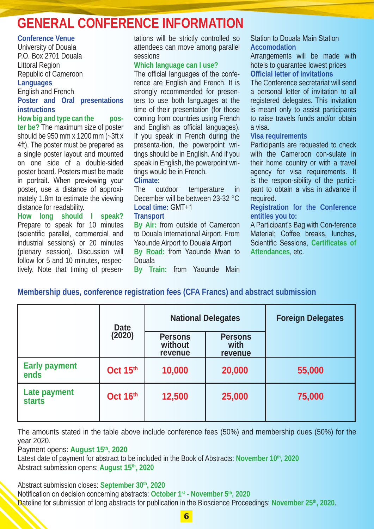## **GENERAL CONFERENCE INFORMATION**

#### **Conference Venue**

University of Douala P.O. Box 2701 Douala Littoral Region Republic of Cameroon

#### **Languages**

English and French **Poster and Oral presentations instructions**

**How big and type can the poster be?** The maximum size of poster should be 950 mm x 1200 mm (~3ft x 4ft). The poster must be prepared as a single poster layout and mounted on one side of a double-sided poster board. Posters must be made in portrait. When previewing your poster, use a distance of approximately 1.8m to estimate the viewing distance for readability.

**How long should I speak?** Prepare to speak for 10 minutes (scientific parallel, commercial and industrial sessions) or 20 minutes (plenary session). Discussion will follow for 5 and 10 minutes, respectively. Note that timing of presentations will be strictly controlled so attendees can move among parallel sessions

#### **Which language can I use?**

The official languages of the conference are English and French. It is strongly recommended for presenters to use both languages at the time of their presentation (for those coming from countries using French and English as official languages). If you speak in French during the presenta-tion, the powerpoint writings should be in English. And if you speak in English, the powerpoint writings would be in French.

## **Climate:**<br>The 0

outdoor temperature in December will be between 23-32 °C **Local time:** GMT+1

#### **Transport**

**By Air:** from outside of Cameroon to Douala International Airport. From Yaounde Airport to Douala Airport **By Road:** from Yaounde Mvan to Douala

**By Train:** from Yaounde Main

#### Station to Douala Main Station **Accomodation**

Arrangements will be made with hotels to guarantee lowest prices **Official letter of invitations**

The Conference secretariat will send a personal letter of invitation to all registered delegates. This invitation is meant only to assist participants to raise travels funds and/or obtain a visa.

#### **Visa requirements**

Participants are requested to check with the Cameroon con-sulate in their home country or with a travel agency for visa requirements. It is the respon-sibility of the participant to obtain a visa in advance if required.

**Registration for the Conference entitles you to:**

A Participant's Bag with Con-ference Material; Coffee breaks, lunches, Scientific Sessions, **Certificates of Attendances**, etc.

### **Membership dues, conference registration fees (CFA Francs) and abstract submission**

|                               | Date     | <b>National Delegates</b>     |                            | <b>Foreign Delegates</b> |
|-------------------------------|----------|-------------------------------|----------------------------|--------------------------|
|                               | (2020)   | Persons<br>without<br>revenue | Persons<br>with<br>revenue |                          |
| <b>Early payment</b><br>ends  | Oct 15th | 10,000                        | 20,000                     | 55,000                   |
| Late payment<br><b>starts</b> | Oct 16th | 12,500                        | 25,000                     | 75,000                   |

The amounts stated in the table above include conference fees (50%) and membership dues (50%) for the year 2020.

Payment opens: August 15<sup>th</sup>, 2020

Latest date of payment for abstract to be included in the Book of Abstracts: November 10<sup>th</sup>, 2020 Abstract submission opens: **August 15th, 2020**

Abstract submission closes: September 30th, 2020

Notification on decision concerning abstracts: **October 1st - November 5th, 2020** Dateline for submission of long abstracts for publication in the Bioscience Proceedings: **November 25th, 2020**.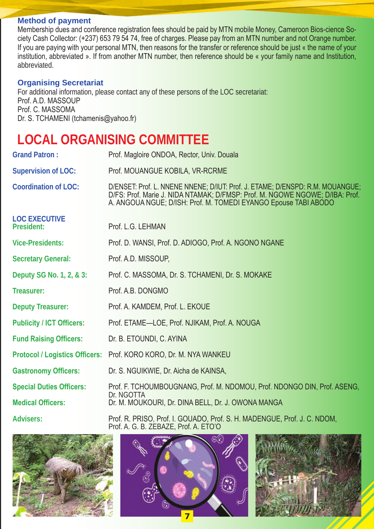#### **Method of payment**

Membership dues and conference registration fees should be paid by MTN mobile Money, Cameroon Bios-cience Society Cash Collector: (+237) 653 79 54 74, free of charges. Please pay from an MTN number and not Orange number. If you are paying with your personal MTN, then reasons for the transfer or reference should be just « the name of your institution, abbreviated ». If from another MTN number, then reference should be « your family name and Institution, abbreviated.

#### **Organising Secretariat**

For additional information, please contact any of these persons of the LOC secretariat: Prof. A.D. MASSOUP Prof. C. MASSOMA Dr. S. TCHAMENI (tchamenis@yahoo.fr)

## **LOCAL ORGANISING COMMITTEE**

| <b>Grand Patron:</b>               | Prof. Magloire ONDOA, Rector, Univ. Douala                                                                                                                                                                                       |  |  |  |
|------------------------------------|----------------------------------------------------------------------------------------------------------------------------------------------------------------------------------------------------------------------------------|--|--|--|
| <b>Supervision of LOC:</b>         | Prof. MOUANGUE KOBILA, VR-RCRME                                                                                                                                                                                                  |  |  |  |
| Coordination of LOC:               | D/ENSET: Prof. L. NNENE NNENE; D/IUT: Prof. J. ETAME; D/ENSPD: R.M. MOUANGUE;<br>D/FS: Prof. Marie J. NIDA NTAMAK; D/FMSP: Prof. M. NGOWE NGOWE; D/IBA: Prof.<br>A. ANGOUA NGUE; D/ISH: Prof. M. TOMEDI EYANGO Epouse TABI ABODO |  |  |  |
| <b>LOC EXECUTIVE</b><br>President: | Prof. L.G. LEHMAN                                                                                                                                                                                                                |  |  |  |
| <b>Vice-Presidents:</b>            | Prof. D. WANSI, Prof. D. ADIOGO, Prof. A. NGONO NGANE                                                                                                                                                                            |  |  |  |
| <b>Secretary General:</b>          | Prof. A.D. MISSOUP,                                                                                                                                                                                                              |  |  |  |
| Deputy SG No. 1, 2, & 3:           | Prof. C. MASSOMA. Dr. S. TCHAMENI. Dr. S. MOKAKE                                                                                                                                                                                 |  |  |  |
| Treasurer:                         | Prof. A.B. DONGMO                                                                                                                                                                                                                |  |  |  |
| <b>Deputy Treasurer:</b>           | Prof. A. KAMDEM, Prof. L. EKOUE                                                                                                                                                                                                  |  |  |  |
| <b>Publicity / ICT Officers:</b>   | Prof. ETAME-LOE, Prof. NJIKAM, Prof. A. NOUGA                                                                                                                                                                                    |  |  |  |
| <b>Fund Raising Officers:</b>      | Dr. B. ETOUNDI, C. AYINA                                                                                                                                                                                                         |  |  |  |
|                                    | Protocol / Logistics Officers: Prof. KORO KORO, Dr. M. NYA WANKEU                                                                                                                                                                |  |  |  |
| <b>Gastronomy Officers:</b>        | Dr. S. NGUIKWIE, Dr. Aicha de KAINSA,                                                                                                                                                                                            |  |  |  |
| <b>Special Duties Officers:</b>    | Prof. F. TCHOUMBOUGNANG, Prof. M. NDOMOU, Prof. NDONGO DIN, Prof. ASENG,<br>Dr. NGOTTA                                                                                                                                           |  |  |  |
| <b>Medical Officers:</b>           | Dr. M. MOUKOURI, Dr. DINA BELL, Dr. J. OWONA MANGA                                                                                                                                                                               |  |  |  |
| <b>Advisers:</b>                   | Prof. R. PRISO, Prof. I. GOUADO, Prof. S. H. MADENGUE, Prof. J. C. NDOM,                                                                                                                                                         |  |  |  |



Prof. A. G. B. ZEBAZE, Prof. A. ETO'O